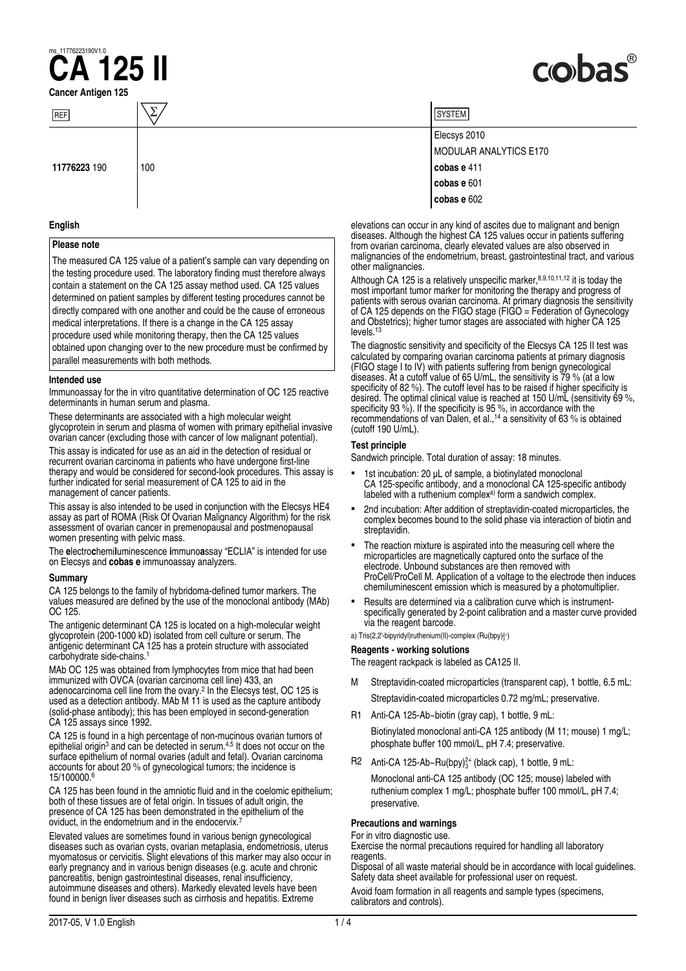## **Cancer Antigen 125 CA<sup>1776223190V1.0**</sup>

# cobas

| REF          |     |
|--------------|-----|
| 11776223 190 | 100 |

#### **English**

#### **Please note**

The measured CA 125 value of a patient's sample can vary depending on the testing procedure used. The laboratory finding must therefore always contain a statement on the CA 125 assay method used. CA 125 values determined on patient samples by different testing procedures cannot be directly compared with one another and could be the cause of erroneous medical interpretations. If there is a change in the CA 125 assay procedure used while monitoring therapy, then the CA 125 values obtained upon changing over to the new procedure must be confirmed by parallel measurements with both methods.

#### **Intended use**

Immunoassay for the in vitro quantitative determination of OC 125 reactive determinants in human serum and plasma.

These determinants are associated with a high molecular weight glycoprotein in serum and plasma of women with primary epithelial invasive ovarian cancer (excluding those with cancer of low malignant potential).

This assay is indicated for use as an aid in the detection of residual or recurrent ovarian carcinoma in patients who have undergone first-line therapy and would be considered for second-look procedures. This assay is further indicated for serial measurement of CA 125 to aid in the management of cancer patients.

This assay is also intended to be used in conjunction with the Elecsys HE4 assay as part of ROMA (Risk Of Ovarian Malignancy Algorithm) for the risk assessment of ovarian cancer in premenopausal and postmenopausal women presenting with pelvic mass.

The **e**lectro**c**hemi**l**uminescence **i**mmuno**a**ssay "ECLIA" is intended for use on Elecsys and **cobas e** immunoassay analyzers.

#### **Summary**

CA 125 belongs to the family of hybridoma‑defined tumor markers. The values measured are defined by the use of the monoclonal antibody (MAb) OC 125.

The antigenic determinant CA 125 is located on a high-molecular weight glycoprotein (200‑1000 kD) isolated from cell culture or serum. The antigenic determinant CA 125 has a protein structure with associated carbohydrate side-chains.<sup>1</sup>

MAb OC 125 was obtained from lymphocytes from mice that had been immunized with OVCA (ovarian carcinoma cell line) 433, an adenocarcinoma cell line from the ovary.<sup>2</sup> In the Elecsys test, OC 125 is used as a detection antibody. MAb M 11 is used as the capture antibody (solid-phase antibody); this has been employed in second-generation CA 125 assays since 1992.

CA 125 is found in a high percentage of non-mucinous ovarian tumors of epithelial origin<sup>3</sup> and can be detected in serum.<sup>4,5</sup> It does not occur on the surface epithelium of normal ovaries (adult and fetal). Ovarian carcinoma accounts for about 20 % of gynecological tumors; the incidence is 15/100000.6

CA 125 has been found in the amniotic fluid and in the coelomic epithelium; both of these tissues are of fetal origin. In tissues of adult origin, the presence of CA 125 has been demonstrated in the epithelium of the oviduct, in the endometrium and in the endocervix.<sup>7</sup>

Elevated values are sometimes found in various benign gynecological diseases such as ovarian cysts, ovarian metaplasia, endometriosis, uterus myomatosus or cervicitis. Slight elevations of this marker may also occur in early pregnancy and in various benign diseases (e.g. acute and chronic pancreatitis, benign gastrointestinal diseases, renal insufficiency, autoimmune diseases and others). Markedly elevated levels have been found in benign liver diseases such as cirrhosis and hepatitis. Extreme

| SYSTEM I               |
|------------------------|
| Elecsys 2010           |
| MODULAR ANALYTICS E170 |
| cobas e 411            |
| cobas e 601            |
| cobas e 602            |

elevations can occur in any kind of ascites due to malignant and benign diseases. Although the highest CA 125 values occur in patients suffering from ovarian carcinoma, clearly elevated values are also observed in malignancies of the endometrium, breast, gastrointestinal tract, and various other malignancies.

Although CA 125 is a relatively unspecific marker,  $8,9,10,11,12$  it is today the most important tumor marker for monitoring the therapy and progress of patients with serous ovarian carcinoma. At primary diagnosis the sensitivity of CA 125 depends on the FIGO stage (FIGO = Federation of Gynecology and Obstetrics); higher tumor stages are associated with higher CA 125 levels.<sup>13</sup>

The diagnostic sensitivity and specificity of the Elecsys CA 125 II test was calculated by comparing ovarian carcinoma patients at primary diagnosis (FIGO stage I to IV) with patients suffering from benign gynecological diseases. At a cutoff value of 65 U/mL, the sensitivity is 79 % (at a low specificity of 82 %). The cutoff level has to be raised if higher specificity is desired. The optimal clinical value is reached at 150 U/mL (sensitivity 69 %, specificity 93 %). If the specificity is 95 %, in accordance with the recommendations of van Dalen, et al.,<sup>14</sup> a sensitivity of 63 % is obtained (cutoff 190 U/mL).

#### **Test principle**

Sandwich principle. Total duration of assay: 18 minutes.

- 1st incubation: 20  $\mu$ L of sample, a biotinylated monoclonal CA 125‑specific antibody, and a monoclonal CA 125‑specific antibody labeled with a ruthenium complex<sup>a)</sup> form a sandwich complex.
- 2nd incubation: After addition of streptavidin-coated microparticles, the complex becomes bound to the solid phase via interaction of biotin and streptavidin.
- The reaction mixture is aspirated into the measuring cell where the microparticles are magnetically captured onto the surface of the electrode. Unbound substances are then removed with ProCell/ProCell M. Application of a voltage to the electrode then induces chemiluminescent emission which is measured by a photomultiplier.
- Results are determined via a calibration curve which is instrumentspecifically generated by 2‑point calibration and a master curve provided via the reagent barcode.

a) Tris(2,2'-bipyridyl)ruthenium(II)-complex (Ru(bpy)<sup>2+</sup>)

#### **Reagents - working solutions**

#### The reagent rackpack is labeled as CA125 II.

- M Streptavidin-coated microparticles (transparent cap), 1 bottle, 6.5 mL: Streptavidin-coated microparticles 0.72 mg/mL; preservative.
- R1 Anti-CA 125-Ab~biotin (gray cap), 1 bottle, 9 mL: Biotinylated monoclonal anti-CA 125 antibody (M 11; mouse) 1 mg/L; phosphate buffer 100 mmol/L, pH 7.4; preservative.
- R2 Anti-CA 125-Ab~Ru(bpy) ${}^{2+}_{3}$  (black cap), 1 bottle, 9 mL:

Monoclonal anti-CA 125 antibody (OC 125; mouse) labeled with ruthenium complex 1 mg/L; phosphate buffer 100 mmol/L, pH 7.4; preservative.

#### **Precautions and warnings**

For in vitro diagnostic use.

Exercise the normal precautions required for handling all laboratory reagents.

Disposal of all waste material should be in accordance with local guidelines. Safety data sheet available for professional user on request.

Avoid foam formation in all reagents and sample types (specimens, calibrators and controls).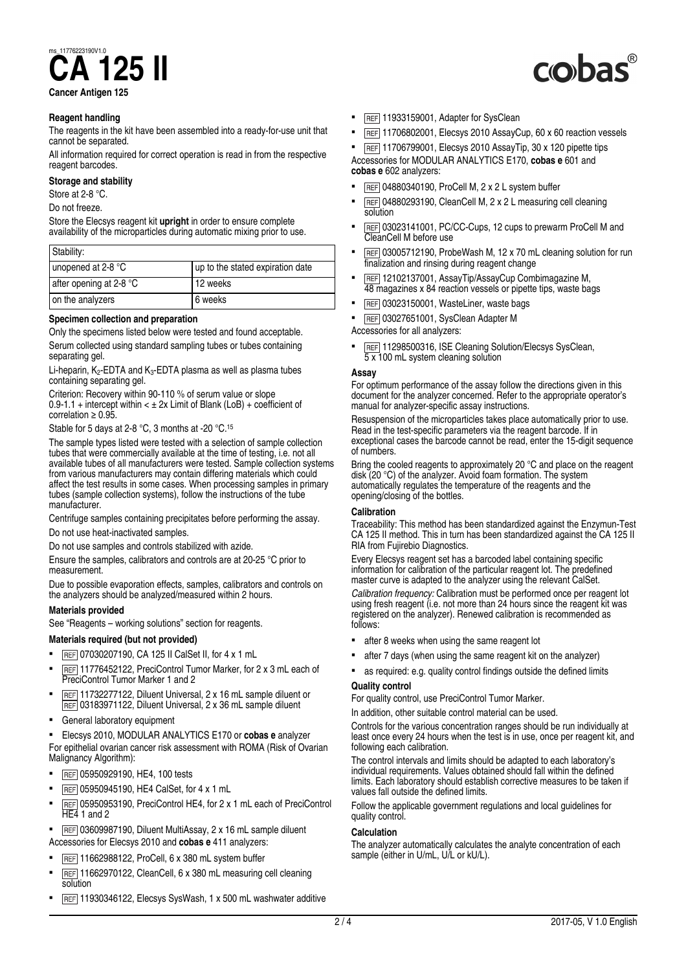# **CA<sup>1776223190V1.0**</sup>

**Cancer Antigen 125**

#### **Reagent handling**

The reagents in the kit have been assembled into a ready-for-use unit that cannot be separated.

All information required for correct operation is read in from the respective reagent barcodes.

#### **Storage and stability**

Store at 2-8 °C.

Do not freeze.

Store the Elecsys reagent kit **upright** in order to ensure complete availability of the microparticles during automatic mixing prior to use.

| Stability:              |                                  |
|-------------------------|----------------------------------|
| unopened at 2-8 °C      | up to the stated expiration date |
| after opening at 2-8 °C | 12 weeks                         |
| on the analyzers        | 6 weeks                          |

#### **Specimen collection and preparation**

Only the specimens listed below were tested and found acceptable. Serum collected using standard sampling tubes or tubes containing separating gel.

Li-heparin,  $K_2$ -EDTA and  $K_3$ -EDTA plasma as well as plasma tubes containing separating gel.

Criterion: Recovery within 90‑110 % of serum value or slope  $0.9 - 1.1 +$  intercept within  $\lt \pm 2x$  Limit of Blank (LoB) + coefficient of correlation  $\geq 0.95$ .

Stable for 5 days at 2-8 °C, 3 months at -20 °C.<sup>15</sup>

The sample types listed were tested with a selection of sample collection tubes that were commercially available at the time of testing, i.e. not all available tubes of all manufacturers were tested. Sample collection systems from various manufacturers may contain differing materials which could affect the test results in some cases. When processing samples in primary tubes (sample collection systems), follow the instructions of the tube manufacturer.

Centrifuge samples containing precipitates before performing the assay.

Do not use heat‑inactivated samples.

Do not use samples and controls stabilized with azide.

Ensure the samples, calibrators and controls are at 20‑25 °C prior to measurement.

Due to possible evaporation effects, samples, calibrators and controls on the analyzers should be analyzed/measured within 2 hours.

#### **Materials provided**

See "Reagents – working solutions" section for reagents.

### **Materials required (but not provided)**

- REF 07030207190, CA 125 II CalSet II, for 4 x 1 mL
- REF 11776452122, PreciControl Tumor Marker, for 2 x 3 mL each of PreciControl Tumor Marker 1 and 2
- REF 11732277122, Diluent Universal, 2 x 16 mL sample diluent or REF 03183971122, Diluent Universal, 2 x 36 mL sample diluent
- General laboratory equipment

▪ Elecsys 2010, MODULAR ANALYTICS E170 or **cobas e** analyzer For epithelial ovarian cancer risk assessment with ROMA (Risk of Ovarian Malignancy Algorithm):

- REF 05950929190, HE4, 100 tests
- **REF** 05950945190, HE4 CalSet, for 4 x 1 mL
- REF 05950953190, PreciControl HE4, for 2 x 1 mL each of PreciControl HE4 1 and 2
- REF 03609987190, Diluent MultiAssay, 2 x 16 mL sample diluent
- Accessories for Elecsys 2010 and **cobas e** 411 analyzers:
- **REF** 11662988122, ProCell, 6 x 380 mL system buffer
- REF 11662970122, CleanCell, 6 x 380 mL measuring cell cleaning **solution**
- REF 11930346122, Elecsys SysWash, 1 x 500 mL washwater additive
- REF 11933159001, Adapter for SysClean
- REF 11706802001, Elecsys 2010 AssayCup, 60 x 60 reaction vessels
- $F$   $F$  11706799001, Elecsys 2010 AssayTip, 30 x 120 pipette tips Accessories for MODULAR ANALYTICS E170, **cobas e** 601 and **cobas e** 602 analyzers:
- $FEEF$  04880340190, ProCell M, 2 x 2 L system buffer
- REF 04880293190, CleanCell M, 2 x 2 L measuring cell cleaning solution
- REF 03023141001, PC/CC-Cups, 12 cups to prewarm ProCell M and CleanCell M before use
- **REF** 03005712190, ProbeWash M, 12 x 70 mL cleaning solution for run finalization and rinsing during reagent change
- REF 12102137001, AssayTip/AssayCup Combimagazine M, 48 magazines x 84 reaction vessels or pipette tips, waste bags
- **EXECTE:** 03023150001, WasteLiner, waste bags
- REF 03027651001, SysClean Adapter M

Accessories for all analyzers:

REF 11298500316, ISE Cleaning Solution/Elecsys SysClean, 5 x 100 mL system cleaning solution

#### **Assay**

For optimum performance of the assay follow the directions given in this document for the analyzer concerned. Refer to the appropriate operator's manual for analyzer-specific assay instructions.

Resuspension of the microparticles takes place automatically prior to use. Read in the test‑specific parameters via the reagent barcode. If in exceptional cases the barcode cannot be read, enter the 15‑digit sequence of numbers.

Bring the cooled reagents to approximately 20 °C and place on the reagent disk (20 °C) of the analyzer. Avoid foam formation. The system automatically regulates the temperature of the reagents and the opening/closing of the bottles.

#### **Calibration**

Traceability: This method has been standardized against the Enzymun‑Test CA 125 II method. This in turn has been standardized against the CA 125 II RIA from Fujirebio Diagnostics.

Every Elecsys reagent set has a barcoded label containing specific information for calibration of the particular reagent lot. The predefined master curve is adapted to the analyzer using the relevant CalSet.

*Calibration frequency:* Calibration must be performed once per reagent lot using fresh reagent (i.e. not more than 24 hours since the reagent kit was registered on the analyzer). Renewed calibration is recommended as follows:

- after 8 weeks when using the same reagent lot
- after 7 days (when using the same reagent kit on the analyzer)
- as required: e.g. quality control findings outside the defined limits

#### **Quality control**

For quality control, use PreciControl Tumor Marker.

In addition, other suitable control material can be used.

Controls for the various concentration ranges should be run individually at least once every 24 hours when the test is in use, once per reagent kit, and following each calibration.

The control intervals and limits should be adapted to each laboratory's individual requirements. Values obtained should fall within the defined limits. Each laboratory should establish corrective measures to be taken if values fall outside the defined limits.

Follow the applicable government regulations and local guidelines for quality control.

#### **Calculation**

The analyzer automatically calculates the analyte concentration of each sample (either in U/mL, U/L or kU/L).

## **CO**bas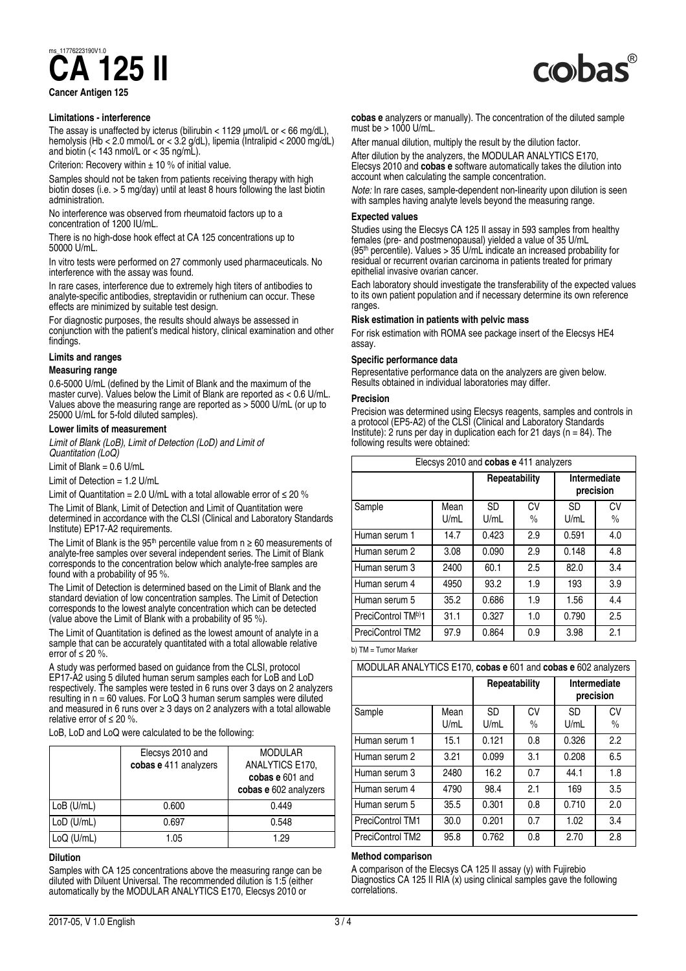**CA<sup>1776223190V1.0**</sup>

**Cancer Antigen 125**

#### **Limitations - interference**

The assay is unaffected by icterus (bilirubin < 1129 μmol/L or < 66 mg/dL), hemolysis (Hb < 2.0 mmol/L or < 3.2 g/dL), lipemia (Intralipid < 2000 mg/dL) and biotin  $\left(\frac{1}{2} + 143 \text{ nmol/L or } 35 \text{ ng/mL}\right)$ .

Criterion: Recovery within  $\pm$  10 % of initial value.

Samples should not be taken from patients receiving therapy with high biotin doses (i.e. > 5 mg/day) until at least 8 hours following the last biotin administration.

No interference was observed from rheumatoid factors up to a concentration of 1200 IU/mL.

There is no high-dose hook effect at CA 125 concentrations up to 50000 U/mL.

In vitro tests were performed on 27 commonly used pharmaceuticals. No interference with the assay was found.

In rare cases, interference due to extremely high titers of antibodies to analyte-specific antibodies, streptavidin or ruthenium can occur. These effects are minimized by suitable test design.

For diagnostic purposes, the results should always be assessed in conjunction with the patient's medical history, clinical examination and other findings.

#### **Limits and ranges**

#### **Measuring range**

0.6‑5000 U/mL (defined by the Limit of Blank and the maximum of the master curve). Values below the Limit of Blank are reported as  $< 0.6$  U/mL. Values above the measuring range are reported as > 5000 U/mL (or up to 25000 U/mL for 5‑fold diluted samples).

#### **Lower limits of measurement**

*Limit of Blank (LoB), Limit of Detection (LoD) and Limit of Quantitation (LoQ)*

Limit of Blank =  $0.6$  U/mL

Limit of Detection = 1.2 U/mL

Limit of Quantitation = 2.0 U/mL with a total allowable error of  $\leq$  20 %

The Limit of Blank, Limit of Detection and Limit of Quantitation were determined in accordance with the CLSI (Clinical and Laboratory Standards Institute) EP17‑A2 requirements.

The Limit of Blank is the 95<sup>th</sup> percentile value from  $n \ge 60$  measurements of analyte-free samples over several independent series. The Limit of Blank corresponds to the concentration below which analyte-free samples are found with a probability of 95 %.

The Limit of Detection is determined based on the Limit of Blank and the standard deviation of low concentration samples. The Limit of Detection corresponds to the lowest analyte concentration which can be detected (value above the Limit of Blank with a probability of 95 %).

The Limit of Quantitation is defined as the lowest amount of analyte in a sample that can be accurately quantitated with a total allowable relative error of  $\leq 20$  %.

A study was performed based on guidance from the CLSI, protocol EP17‑A2 using 5 diluted human serum samples each for LoB and LoD respectively. The samples were tested in 6 runs over 3 days on 2 analyzers resulting in  $n = 60$  values. For LoQ 3 human serum samples were diluted and measured in 6 runs over  $\geq 3$  days on 2 analyzers with a total allowable relative error of  $\leq 20$  %.

LoB, LoD and LoQ were calculated to be the following:

|              | Elecsys 2010 and<br>cobas e 411 analyzers | <b>MODULAR</b><br>ANALYTICS E170,<br>cobas e 601 and<br>cobas e 602 analyzers |
|--------------|-------------------------------------------|-------------------------------------------------------------------------------|
| $LoB$ (U/mL) | 0.600                                     | 0.449                                                                         |
| LoD (U/mL)   | 0.697                                     | 0.548                                                                         |
| $LoQ$ (U/mL) | 1.05                                      | 1.29                                                                          |

#### **Dilution**

Samples with CA 125 concentrations above the measuring range can be diluted with Diluent Universal. The recommended dilution is 1:5 (either automatically by the MODULAR ANALYTICS E170, Elecsys 2010 or

**cobas e** analyzers or manually). The concentration of the diluted sample must be > 1000 U/mL.

After manual dilution, multiply the result by the dilution factor. After dilution by the analyzers, the MODULAR ANALYTICS E170, Elecsys 2010 and **cobas e** software automatically takes the dilution into account when calculating the sample concentration.

*Note:* In rare cases, sample-dependent non-linearity upon dilution is seen with samples having analyte levels beyond the measuring range.

#### **Expected values**

Studies using the Elecsys CA 125 II assay in 593 samples from healthy females (pre- and postmenopausal) yielded a value of 35 U/mL (95th percentile). Values > 35 U/mL indicate an increased probability for residual or recurrent ovarian carcinoma in patients treated for primary epithelial invasive ovarian cancer.

Each laboratory should investigate the transferability of the expected values to its own patient population and if necessary determine its own reference ranges.

#### **Risk estimation in patients with pelvic mass**

For risk estimation with ROMA see package insert of the Elecsys HE4 assay.

#### **Specific performance data**

Representative performance data on the analyzers are given below. Results obtained in individual laboratories may differ.

#### **Precision**

Precision was determined using Elecsys reagents, samples and controls in a protocol (EP5‑A2) of the CLSI (Clinical and Laboratory Standards Institute): 2 runs per day in duplication each for 21 days ( $n = 84$ ). The following results were obtained:

| Elecsys 2010 and cobas e 411 analyzers         |              |                   |                     |                           |                     |
|------------------------------------------------|--------------|-------------------|---------------------|---------------------------|---------------------|
|                                                |              | Repeatability     |                     | Intermediate<br>precision |                     |
| Sample                                         | Mean<br>U/mL | <b>SD</b><br>U/mL | CV<br>$\frac{0}{0}$ | <b>SD</b><br>U/mL         | CV<br>$\frac{0}{0}$ |
| Human serum 1                                  | 14.7         | 0.423             | 2.9                 | 0.591                     | 4.0                 |
| Human serum 2                                  | 3.08         | 0.090             | 2.9                 | 0.148                     | 4.8                 |
| Human serum 3                                  | 2400         | 60.1              | 2.5                 | 82.0                      | 3.4                 |
| Human serum 4                                  | 4950         | 93.2              | 1.9                 | 193                       | 3.9                 |
| Human serum 5                                  | 35.2         | 0.686             | 1.9                 | 1.56                      | 4.4                 |
| PreciControl TMb)1                             | 31.1         | 0.327             | 1.0                 | 0.790                     | 2.5                 |
| PreciControl TM2<br>$\cdots$ $\cdots$ $\cdots$ | 97.9         | 0.864             | 0.9                 | 3.98                      | 2.1                 |

b) TM = Tumor Marker

| MODULAR ANALYTICS E170, cobas e 601 and cobas e 602 analyzers |              |                   |                     |                           |                     |
|---------------------------------------------------------------|--------------|-------------------|---------------------|---------------------------|---------------------|
|                                                               |              | Repeatability     |                     | Intermediate<br>precision |                     |
| Sample                                                        | Mean<br>U/mL | <b>SD</b><br>U/mL | CV<br>$\frac{0}{0}$ | <b>SD</b><br>U/mL         | CV<br>$\frac{0}{0}$ |
| Human serum 1                                                 | 15.1         | 0.121             | 0.8                 | 0.326                     | 2.2                 |
| Human serum 2                                                 | 3.21         | 0.099             | 3.1                 | 0.208                     | 6.5                 |
| Human serum 3                                                 | 2480         | 16.2              | 0.7                 | 44.1                      | 1.8                 |
| Human serum 4                                                 | 4790         | 98.4              | 2.1                 | 169                       | 3.5                 |
| Human serum 5                                                 | 35.5         | 0.301             | 0.8                 | 0.710                     | 2.0                 |
| <b>PreciControl TM1</b>                                       | 30.0         | 0.201             | 0.7                 | 1.02                      | 3.4                 |
| <b>PreciControl TM2</b>                                       | 95.8         | 0.762             | 0.8                 | 2.70                      | 2.8                 |

#### **Method comparison**

A comparison of the Elecsys CA 125 II assay (y) with Fujirebio Diagnostics CA 125 II RIA (x) using clinical samples gave the following correlations.

## **CO**bas